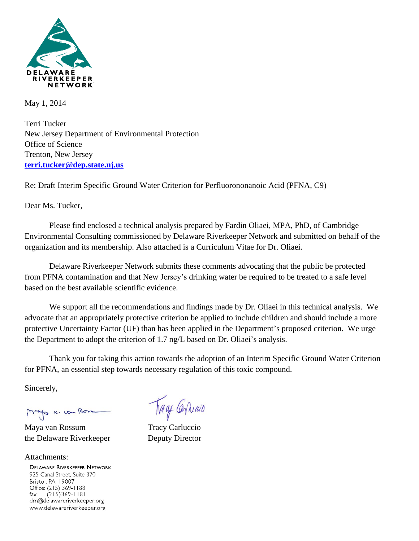

May 1, 2014

Terri Tucker New Jersey Department of Environmental Protection Office of Science Trenton, New Jersey **[terri.tucker@dep.state.nj.us](mailto:terri.tucker@dep.state.nj.us)**

Re: Draft Interim Specific Ground Water Criterion for Perfluorononanoic Acid (PFNA, C9)

Dear Ms. Tucker,

Please find enclosed a technical analysis prepared by Fardin Oliaei, MPA, PhD, of Cambridge Environmental Consulting commissioned by Delaware Riverkeeper Network and submitted on behalf of the organization and its membership. Also attached is a Curriculum Vitae for Dr. Oliaei.

Delaware Riverkeeper Network submits these comments advocating that the public be protected from PFNA contamination and that New Jersey's drinking water be required to be treated to a safe level based on the best available scientific evidence.

We support all the recommendations and findings made by Dr. Oliaei in this technical analysis. We advocate that an appropriately protective criterion be applied to include children and should include a more protective Uncertainty Factor (UF) than has been applied in the Department's proposed criterion. We urge the Department to adopt the criterion of 1.7 ng/L based on Dr. Oliaei's analysis.

Thank you for taking this action towards the adoption of an Interim Specific Ground Water Criterion for PFNA, an essential step towards necessary regulation of this toxic compound.

Sincerely,

Mayo K. von Rom

Maya van Rossum Tracy Carluccio the Delaware Riverkeeper Deputy Director

Attachments:**DELAWARE RIVERKEEPER NETWORK** 925 Canal Street, Suite 3701 Bristol, PA 19007 Office: (215) 369-1188 fax:  $(215)369 - 1181$ drn@delawareriverkeeper.org www.delawareriverkeeper.org

Trage Carriago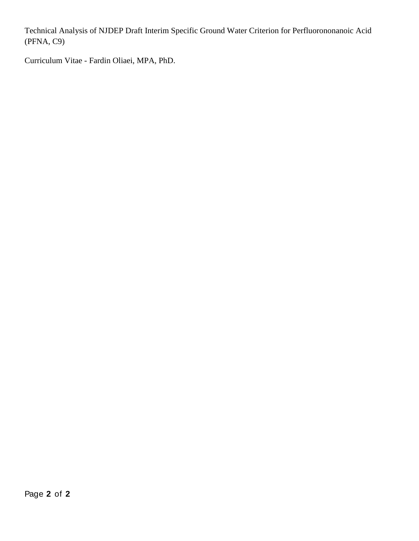Technical Analysis of NJDEP Draft Interim Specific Ground Water Criterion for Perfluorononanoic Acid (PFNA, C9)

Curriculum Vitae - Fardin Oliaei, MPA, PhD.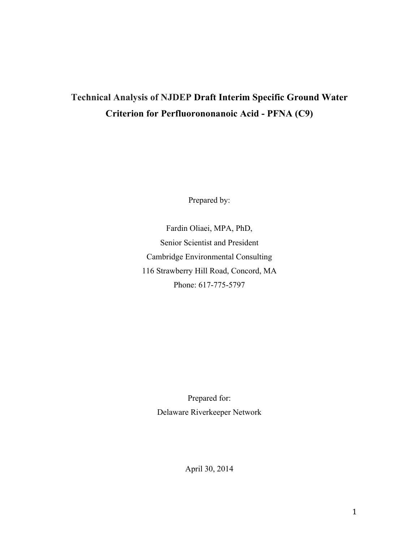# **Technical Analysis of NJDEP Draft Interim Specific Ground Water Criterion for Perfluorononanoic Acid - PFNA (C9)**

Prepared by:

Fardin Oliaei, MPA, PhD, Senior Scientist and President Cambridge Environmental Consulting 116 Strawberry Hill Road, Concord, MA Phone: 617-775-5797

> Prepared for: Delaware Riverkeeper Network

> > April 30, 2014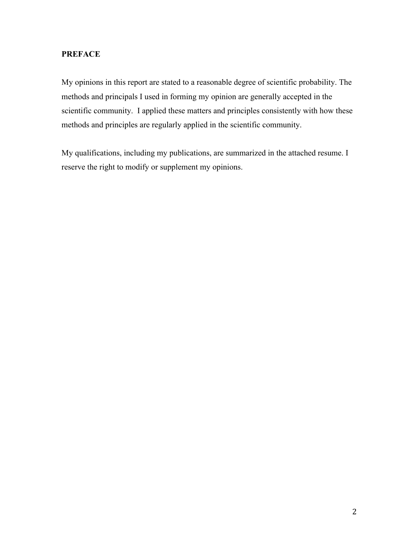# **PREFACE**

My opinions in this report are stated to a reasonable degree of scientific probability. The methods and principals I used in forming my opinion are generally accepted in the scientific community. I applied these matters and principles consistently with how these methods and principles are regularly applied in the scientific community.

My qualifications, including my publications, are summarized in the attached resume. I reserve the right to modify or supplement my opinions.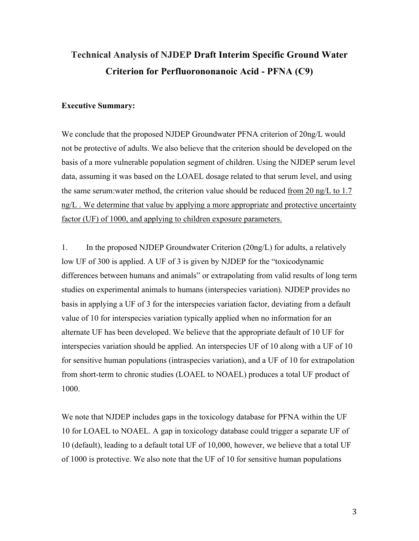# **Technical Analysis of NJDEP Draft Interim Specific Ground Water Criterion for Perfluorononanoic Acid - PFNA (C9)**

#### **Executive Summary:**

We conclude that the proposed NJDEP Groundwater PFNA criterion of 20ng/L would not be protective of adults. We also believe that the criterion should be developed on the basis of a more vulnerable population segment of children. Using the NJDEP serum level data, assuming it was based on the LOAEL dosage related to that serum level, and using the same serum:water method, the criterion value should be reduced from 20 ng/L to 1.7 ng/L. We determine that value by applying a more appropriate and protective uncertainty factor (UF) of 1000, and applying to children exposure parameters.

1. In the proposed NJDEP Groundwater Criterion (20ng/L) for adults, a relatively low UF of 300 is applied. A UF of 3 is given by NJDEP for the "toxicodynamic differences between humans and animals" or extrapolating from valid results of long term studies on experimental animals to humans (interspecies variation). NJDEP provides no basis in applying a UF of 3 for the interspecies variation factor, deviating from a default value of 10 for interspecies variation typically applied when no information for an alternate UF has been developed. We believe that the appropriate default of 10 UF for interspecies variation should be applied. An interspecies UF of 10 along with a UF of 10 for sensitive human populations (intraspecies variation), and a UF of 10 for extrapolation from short-term to chronic studies (LOAEL to NOAEL) produces a total UF product of 1000.

We note that NJDEP includes gaps in the toxicology database for PFNA within the UF 10 for LOAEL to NOAEL. A gap in toxicology database could trigger a separate UF of 10 (default), leading to a default total UF of 10,000, however, we believe that a total UF of 1000 is protective. We also note that the UF of 10 for sensitive human populations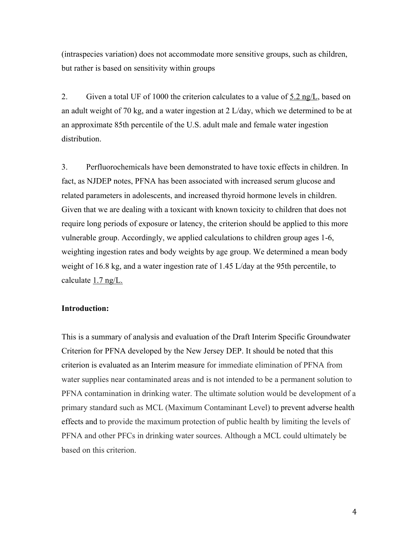(intraspecies variation) does not accommodate more sensitive groups, such as children, but rather is based on sensitivity within groups

2. Given a total UF of 1000 the criterion calculates to a value of  $5.2 \text{ ng/L}$ , based on an adult weight of 70 kg, and a water ingestion at 2 L/day, which we determined to be at an approximate 85th percentile of the U.S. adult male and female water ingestion distribution.

3. Perfluorochemicals have been demonstrated to have toxic effects in children. In fact, as NJDEP notes, PFNA has been associated with increased serum glucose and related parameters in adolescents, and increased thyroid hormone levels in children. Given that we are dealing with a toxicant with known toxicity to children that does not require long periods of exposure or latency, the criterion should be applied to this more vulnerable group. Accordingly, we applied calculations to children group ages 1-6, weighting ingestion rates and body weights by age group. We determined a mean body weight of 16.8 kg, and a water ingestion rate of 1.45 L/day at the 95th percentile, to calculate 1.7 ng/L.

#### **Introduction:**

This is a summary of analysis and evaluation of the Draft Interim Specific Groundwater Criterion for PFNA developed by the New Jersey DEP. It should be noted that this criterion is evaluated as an Interim measure for immediate elimination of PFNA from water supplies near contaminated areas and is not intended to be a permanent solution to PFNA contamination in drinking water. The ultimate solution would be development of a primary standard such as MCL (Maximum Contaminant Level) to prevent adverse health effects and to provide the maximum protection of public health by limiting the levels of PFNA and other PFCs in drinking water sources. Although a MCL could ultimately be based on this criterion.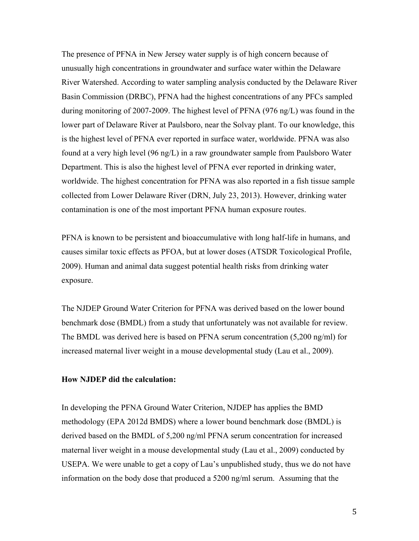The presence of PFNA in New Jersey water supply is of high concern because of unusually high concentrations in groundwater and surface water within the Delaware River Watershed. According to water sampling analysis conducted by the Delaware River Basin Commission (DRBC), PFNA had the highest concentrations of any PFCs sampled during monitoring of 2007-2009. The highest level of PFNA (976 ng/L) was found in the lower part of Delaware River at Paulsboro, near the Solvay plant. To our knowledge, this is the highest level of PFNA ever reported in surface water, worldwide. PFNA was also found at a very high level (96 ng/L) in a raw groundwater sample from Paulsboro Water Department. This is also the highest level of PFNA ever reported in drinking water, worldwide. The highest concentration for PFNA was also reported in a fish tissue sample collected from Lower Delaware River (DRN, July 23, 2013). However, drinking water contamination is one of the most important PFNA human exposure routes.

PFNA is known to be persistent and bioaccumulative with long half-life in humans, and causes similar toxic effects as PFOA, but at lower doses (ATSDR Toxicological Profile, 2009). Human and animal data suggest potential health risks from drinking water exposure.

The NJDEP Ground Water Criterion for PFNA was derived based on the lower bound benchmark dose (BMDL) from a study that unfortunately was not available for review. The BMDL was derived here is based on PFNA serum concentration (5,200 ng/ml) for increased maternal liver weight in a mouse developmental study (Lau et al., 2009).

#### **How NJDEP did the calculation:**

In developing the PFNA Ground Water Criterion, NJDEP has applies the BMD methodology (EPA 2012d BMDS) where a lower bound benchmark dose (BMDL) is derived based on the BMDL of 5,200 ng/ml PFNA serum concentration for increased maternal liver weight in a mouse developmental study (Lau et al., 2009) conducted by USEPA. We were unable to get a copy of Lau's unpublished study, thus we do not have information on the body dose that produced a 5200 ng/ml serum. Assuming that the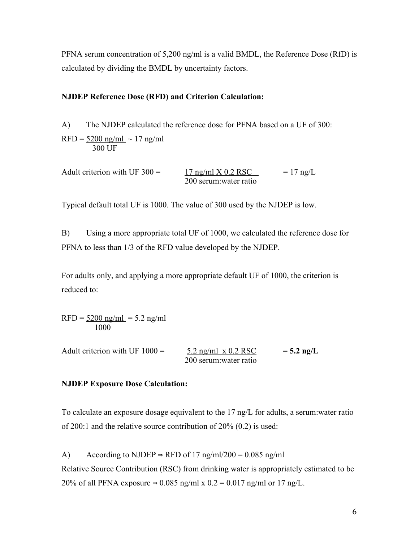PFNA serum concentration of 5,200 ng/ml is a valid BMDL, the Reference Dose (RfD) is calculated by dividing the BMDL by uncertainty factors.

#### **NJDEP Reference Dose (RFD) and Criterion Calculation:**

A) The NJDEP calculated the reference dose for PFNA based on a UF of 300:  $RFD = 5200$  ng/ml ~ 17 ng/ml 300 UF

Adult criterion with UF  $300 = 17$  ng/ml X 0.2 RSC = 17 ng/L 200 serum:water ratio

Typical default total UF is 1000. The value of 300 used by the NJDEP is low.

B) Using a more appropriate total UF of 1000, we calculated the reference dose for PFNA to less than 1/3 of the RFD value developed by the NJDEP.

For adults only, and applying a more appropriate default UF of 1000, the criterion is reduced to:

 $RFD = 5200$  ng/ml = 5.2 ng/ml 1000

Adult criterion with UF  $1000 = 5.2$  ng/ml x  $0.2$  RSC  $= 5.2$  ng/L 200 serum:water ratio

#### **NJDEP Exposure Dose Calculation:**

To calculate an exposure dosage equivalent to the 17 ng/L for adults, a serum:water ratio of 200:1 and the relative source contribution of 20% (0.2) is used:

A) According to NJDEP  $\Rightarrow$  RFD of 17 ng/ml/200 = 0.085 ng/ml Relative Source Contribution (RSC) from drinking water is appropriately estimated to be 20% of all PFNA exposure  $\Rightarrow$  0.085 ng/ml x 0.2 = 0.017 ng/ml or 17 ng/L.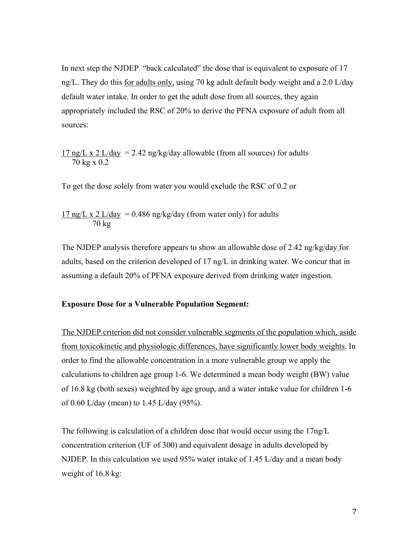In next step the NJDEP "back calculated" the dose that is equivalent to exposure of 17 ng/L. They do this for adults only, using 70 kg adult default body weight and a 2.0 L/day default water intake. In order to get the adult dose from all sources, they again appropriately included the RSC of 20% to derive the PFNA exposure of adult from all sources:

17 ng/L x 2 L/day = 2.42 ng/kg/day allowable (from all sources) for adults 70 kg x 0.2

To get the dose solely from water you would exclude the RSC of 0.2 or

17 ng/L x 2 L/day = 0.486 ng/kg/day (from water only) for adults 70 kg

The NJDEP analysis therefore appears to show an allowable dose of 2.42 ng/kg/day for adults, based on the criterion developed of 17 ng/L in drinking water. We concur that in assuming a default 20% of PFNA exposure derived from drinking water ingestion.

#### **Exposure Dose for a Vulnerable Population Segment:**

The NJDEP criterion did not consider vulnerable segments of the population which, aside from toxicokinetic and physiologic differences, have significantly lower body weights. In order to find the allowable concentration in a more vulnerable group we apply the calculations to children age group 1-6. We determined a mean body weight (BW) value of 16.8 kg (both sexes) weighted by age group, and a water intake value for children 1-6 of 0.60 L/day (mean) to 1.45 L/day (95%).

The following is calculation of a children dose that would occur using the 17ng/L concentration criterion (UF of 300) and equivalent dosage in adults developed by NJDEP. In this calculation we used 95% water intake of 1.45 L/day and a mean body weight of 16.8 kg: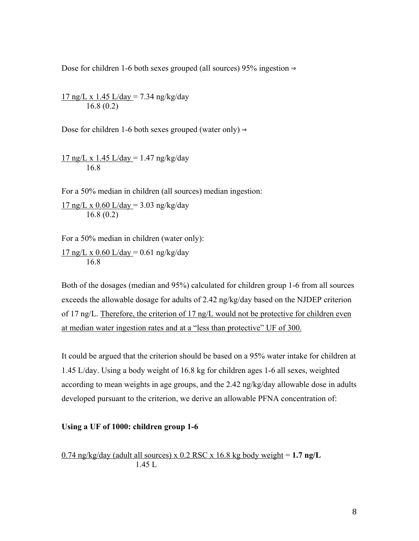Dose for children 1-6 both sexes grouped (all sources) 95% ingestion ⇒

 $17 \text{ ng/L x } 1.45 \text{ L/day} = 7.34 \text{ ng/kg/day}$ 16.8 (0.2)

Dose for children 1-6 both sexes grouped (water only)  $\Rightarrow$ 

 $17$  ng/L x 1.45 L/day = 1.47 ng/kg/day 16.8

For a 50% median in children (all sources) median ingestion:

 $17$  ng/L x 0.60 L/day = 3.03 ng/kg/day 16.8 (0.2)

For a 50% median in children (water only):

 $17$  ng/L x 0.60 L/day = 0.61 ng/kg/day 16.8

Both of the dosages (median and 95%) calculated for children group 1-6 from all sources exceeds the allowable dosage for adults of 2.42 ng/kg/day based on the NJDEP criterion of 17 ng/L. Therefore, the criterion of 17 ng/L would not be protective for children even at median water ingestion rates and at a "less than protective" UF of 300.

It could be argued that the criterion should be based on a 95% water intake for children at 1.45 L/day. Using a body weight of 16.8 kg for children ages 1-6 all sexes, weighted according to mean weights in age groups, and the 2.42 ng/kg/day allowable dose in adults developed pursuant to the criterion, we derive an allowable PFNA concentration of:

#### **Using a UF of 1000: children group 1-6**

 $0.74$  ng/kg/day (adult all sources) x  $0.2$  RSC x 16.8 kg body weight = 1.7 ng/L 1.45 L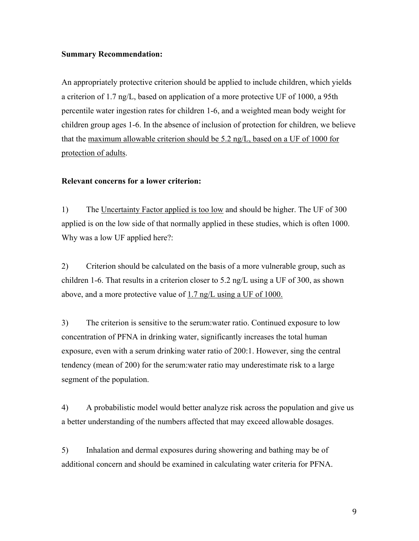#### **Summary Recommendation:**

An appropriately protective criterion should be applied to include children, which yields a criterion of 1.7 ng/L, based on application of a more protective UF of 1000, a 95th percentile water ingestion rates for children 1-6, and a weighted mean body weight for children group ages 1-6. In the absence of inclusion of protection for children, we believe that the maximum allowable criterion should be 5.2 ng/L, based on a UF of 1000 for protection of adults.

#### **Relevant concerns for a lower criterion:**

1) The Uncertainty Factor applied is too low and should be higher. The UF of 300 applied is on the low side of that normally applied in these studies, which is often 1000. Why was a low UF applied here?:

2) Criterion should be calculated on the basis of a more vulnerable group, such as children 1-6. That results in a criterion closer to 5.2 ng/L using a UF of 300, as shown above, and a more protective value of  $1.7 \text{ ng/L using a UF of } 1000$ .

3) The criterion is sensitive to the serum:water ratio. Continued exposure to low concentration of PFNA in drinking water, significantly increases the total human exposure, even with a serum drinking water ratio of 200:1. However, sing the central tendency (mean of 200) for the serum:water ratio may underestimate risk to a large segment of the population.

4) A probabilistic model would better analyze risk across the population and give us a better understanding of the numbers affected that may exceed allowable dosages.

5) Inhalation and dermal exposures during showering and bathing may be of additional concern and should be examined in calculating water criteria for PFNA.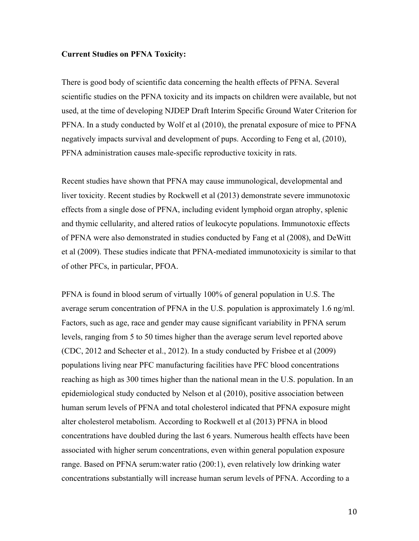#### **Current Studies on PFNA Toxicity:**

There is good body of scientific data concerning the health effects of PFNA. Several scientific studies on the PFNA toxicity and its impacts on children were available, but not used, at the time of developing NJDEP Draft Interim Specific Ground Water Criterion for PFNA. In a study conducted by Wolf et al (2010), the prenatal exposure of mice to PFNA negatively impacts survival and development of pups. According to Feng et al, (2010), PFNA administration causes male-specific reproductive toxicity in rats.

Recent studies have shown that PFNA may cause immunological, developmental and liver toxicity. Recent studies by Rockwell et al (2013) demonstrate severe immunotoxic effects from a single dose of PFNA, including evident lymphoid organ atrophy, splenic and thymic cellularity, and altered ratios of leukocyte populations. Immunotoxic effects of PFNA were also demonstrated in studies conducted by Fang et al (2008), and DeWitt et al (2009). These studies indicate that PFNA-mediated immunotoxicity is similar to that of other PFCs, in particular, PFOA.

PFNA is found in blood serum of virtually 100% of general population in U.S. The average serum concentration of PFNA in the U.S. population is approximately 1.6 ng/ml. Factors, such as age, race and gender may cause significant variability in PFNA serum levels, ranging from 5 to 50 times higher than the average serum level reported above (CDC, 2012 and Schecter et al., 2012). In a study conducted by Frisbee et al (2009) populations living near PFC manufacturing facilities have PFC blood concentrations reaching as high as 300 times higher than the national mean in the U.S. population. In an epidemiological study conducted by Nelson et al (2010), positive association between human serum levels of PFNA and total cholesterol indicated that PFNA exposure might alter cholesterol metabolism. According to Rockwell et al (2013) PFNA in blood concentrations have doubled during the last 6 years. Numerous health effects have been associated with higher serum concentrations, even within general population exposure range. Based on PFNA serum:water ratio (200:1), even relatively low drinking water concentrations substantially will increase human serum levels of PFNA. According to a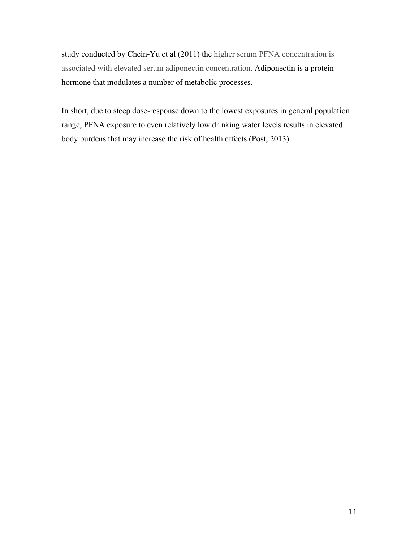study conducted by Chein-Yu et al (2011) the higher serum PFNA concentration is associated with elevated serum adiponectin concentration. Adiponectin is a protein hormone that modulates a number of metabolic processes.

In short, due to steep dose-response down to the lowest exposures in general population range, PFNA exposure to even relatively low drinking water levels results in elevated body burdens that may increase the risk of health effects (Post, 2013)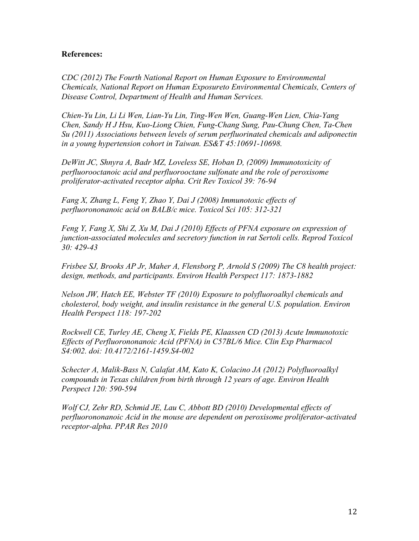#### **References:**

*CDC (2012) The Fourth National Report on Human Exposure to Environmental Chemicals, National Report on Human Exposureto Environmental Chemicals, Centers of Disease Control, Department of Health and Human Services.*

*Chien-Yu Lin, Li Li Wen, Lian-Yu Lin, Ting-Wen Wen, Guang-Wen Lien, Chia-Yang Chen, Sandy H J Hsu, Kuo-Liong Chien, Fung-Chang Sung, Pau-Chung Chen, Ta-Chen Su (2011) Associations between levels of serum perfluorinated chemicals and adiponectin in a young hypertension cohort in Taiwan. ES&T 45:10691-10698.* 

*DeWitt JC, Shnyra A, Badr MZ, Loveless SE, Hoban D, (2009) Immunotoxicity of perfluorooctanoic acid and perfluorooctane sulfonate and the role of peroxisome proliferator-activated receptor alpha. Crit Rev Toxicol 39: 76-94*

*Fang X, Zhang L, Feng Y, Zhao Y, Dai J (2008) Immunotoxic effects of perfluorononanoic acid on BALB/c mice. Toxicol Sci 105: 312-321*

*Feng Y, Fang X, Shi Z, Xu M, Dai J (2010) Effects of PFNA exposure on expression of junction-associated molecules and secretory function in rat Sertoli cells. Reprod Toxicol 30: 429-43*

*Frisbee SJ, Brooks AP Jr, Maher A, Flensborg P, Arnold S (2009) The C8 health project: design, methods, and participants. Environ Health Perspect 117: 1873-1882*

*Nelson JW, Hatch EE, Webster TF (2010) Exposure to polyfluoroalkyl chemicals and cholesterol, body weight, and insulin resistance in the general U.S. population. Environ Health Perspect 118: 197-202*

*Rockwell CE, Turley AE, Cheng X, Fields PE, Klaassen CD (2013) Acute Immunotoxic Effects of Perfluorononanoic Acid (PFNA) in C57BL/6 Mice. Clin Exp Pharmacol S4:002. doi: 10.4172/2161-1459.S4-002*

*Schecter A, Malik-Bass N, Calafat AM, Kato K, Colacino JA (2012) Polyfluoroalkyl compounds in Texas children from birth through 12 years of age. Environ Health Perspect 120: 590-594*

*Wolf CJ, Zehr RD, Schmid JE, Lau C, Abbott BD (2010) Developmental effects of perfluorononanoic Acid in the mouse are dependent on peroxisome proliferator-activated receptor-alpha. PPAR Res 2010*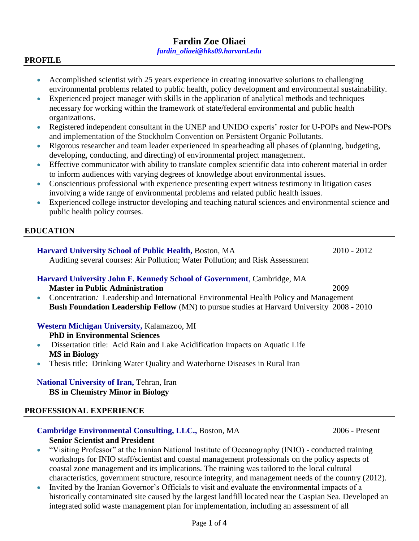#### **PROFILE**

- Accomplished scientist with 25 years experience in creating innovative solutions to challenging environmental problems related to public health, policy development and environmental sustainability.
- Experienced project manager with skills in the application of analytical methods and techniques necessary for working within the framework of state/federal environmental and public health organizations.
- Registered independent consultant in the UNEP and UNIDO experts' roster for U-POPs and New-POPs and implementation of the Stockholm Convention on Persistent Organic Pollutants.
- Rigorous researcher and team leader experienced in spearheading all phases of (planning, budgeting, developing, conducting, and directing) of environmental project management.
- Effective communicator with ability to translate complex scientific data into coherent material in order to inform audiences with varying degrees of knowledge about environmental issues.
- Conscientious professional with experience presenting expert witness testimony in litigation cases involving a wide range of environmental problems and related public health issues.
- Experienced college instructor developing and teaching natural sciences and environmental science and public health policy courses.

# **EDUCATION**

# **Harvard University School of Public Health, Boston, MA** 2010 - 2012

Auditing several courses: Air Pollution; Water Pollution; and Risk Assessment

# **Harvard University John F. Kennedy School of Government**, Cambridge, MA

**Master in Public Administration** 2009

 Concentration*:* Leadership and International Environmental Health Policy and Management **Bush Foundation Leadership Fellow** (MN) to pursue studies at Harvard University 2008 - 2010

# **Western Michigan University,** Kalamazoo, MI

**PhD in Environmental Sciences**

- Dissertation title: Acid Rain and Lake Acidification Impacts on Aquatic Life **MS in Biology**
- Thesis title: Drinking Water Quality and Waterborne Diseases in Rural Iran

# **National University of Iran,** Tehran, Iran

**BS in Chemistry Minor in Biology**

# **PROFESSIONAL EXPERIENCE**

# **Cambridge Environmental Consulting, LLC., Boston, MA** 2006 - Present **Senior Scientist and President**

- "Visiting Professor" at the Iranian National Institute of Oceanography (INIO) conducted training workshops for INIO staff/scientist and coastal management professionals on the policy aspects of coastal zone management and its implications. The training was tailored to the local cultural characteristics, government structure, resource integrity, and management needs of the country (2012).
- Invited by the Iranian Governor's Officials to visit and evaluate the environmental impacts of a historically contaminated site caused by the largest landfill located near the Caspian Sea. Developed an integrated solid waste management plan for implementation, including an assessment of all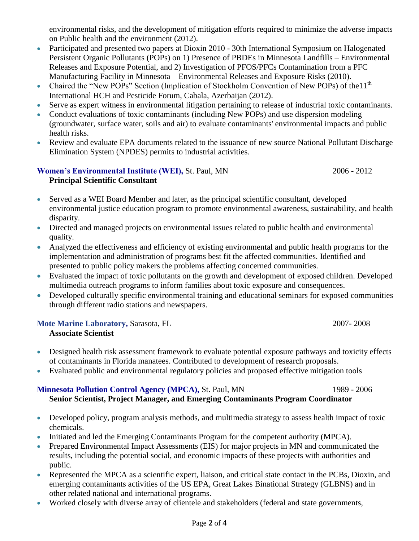environmental risks, and the development of mitigation efforts required to minimize the adverse impacts on Public health and the environment (2012).

- Participated and presented two papers at Dioxin 2010 30th International Symposium on Halogenated Persistent Organic Pollutants (POPs) on 1) Presence of PBDEs in Minnesota Landfills – Environmental Releases and Exposure Potential, and 2) Investigation of PFOS/PFCs Contamination from a PFC Manufacturing Facility in Minnesota – Environmental Releases and Exposure Risks (2010).
- Chaired the "New POPs" Section (Implication of Stockholm Convention of New POPs) of the 11<sup>th</sup> International HCH and Pesticide Forum, Cabala, Azerbaijan (2012).
- Serve as expert witness in environmental litigation pertaining to release of industrial toxic contaminants.
- Conduct evaluations of toxic contaminants (including New POPs) and use dispersion modeling (groundwater, surface water, soils and air) to evaluate contaminants' environmental impacts and public health risks.
- Review and evaluate EPA documents related to the issuance of new source National Pollutant Discharge Elimination System (NPDES) permits to industrial activities.

# **Women's Environmental Institute (WEI), St. Paul, MN 2006 - 2012 Principal Scientific Consultant**

- Served as a WEI Board Member and later, as the principal scientific consultant, developed environmental justice education program to promote environmental awareness, sustainability, and health disparity.
- Directed and managed projects on environmental issues related to public health and environmental quality.
- Analyzed the effectiveness and efficiency of existing environmental and public health programs for the implementation and administration of programs best fit the affected communities. Identified and presented to public policy makers the problems affecting concerned communities.
- Evaluated the impact of toxic pollutants on the growth and development of exposed children. Developed multimedia outreach programs to inform families about toxic exposure and consequences.
- Developed culturally specific environmental training and educational seminars for exposed communities through different radio stations and newspapers.

# **Mote Marine Laboratory, Sarasota, FL 2007-2008**

# **Associate Scientist**

- Designed health risk assessment framework to evaluate potential exposure pathways and toxicity effects of contaminants in Florida manatees. Contributed to development of research proposals.
- Evaluated public and environmental regulatory policies and proposed effective mitigation tools

# **Minnesota Pollution Control Agency (MPCA), St. Paul, MN 1989 - 2006**

# **Senior Scientist, Project Manager, and Emerging Contaminants Program Coordinator**

- Developed policy, program analysis methods, and multimedia strategy to assess health impact of toxic chemicals.
- Initiated and led the Emerging Contaminants Program for the competent authority (MPCA).
- Prepared Environmental Impact Assessments (EIS) for major projects in MN and communicated the results, including the potential social, and economic impacts of these projects with authorities and public.
- Represented the MPCA as a scientific expert, liaison, and critical state contact in the PCBs, Dioxin, and emerging contaminants activities of the US EPA, Great Lakes Binational Strategy (GLBNS) and in other related national and international programs.
- Worked closely with diverse array of clientele and stakeholders (federal and state governments,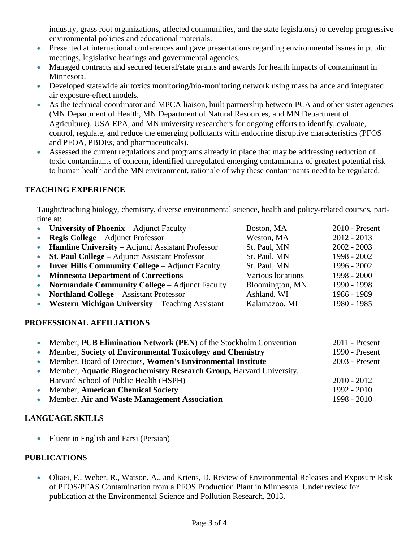industry, grass root organizations, affected communities, and the state legislators) to develop progressive environmental policies and educational materials.

- Presented at international conferences and gave presentations regarding environmental issues in public meetings, legislative hearings and governmental agencies.
- Managed contracts and secured federal/state grants and awards for health impacts of contaminant in Minnesota.
- Developed statewide air toxics monitoring/bio-monitoring network using mass balance and integrated air exposure-effect models.
- As the technical coordinator and MPCA liaison, built partnership between PCA and other sister agencies (MN Department of Health, MN Department of Natural Resources, and MN Department of Agriculture), USA EPA, and MN university researchers for ongoing efforts to identify, evaluate, control, regulate, and reduce the emerging pollutants with endocrine disruptive characteristics (PFOS and PFOA, PBDEs, and pharmaceuticals).
- Assessed the current regulations and programs already in place that may be addressing reduction of toxic contaminants of concern, identified unregulated emerging contaminants of greatest potential risk to human health and the MN environment, rationale of why these contaminants need to be regulated.

# **TEACHING EXPERIENCE**

Taught/teaching biology, chemistry, diverse environmental science, health and policy-related courses, parttime at:

|           | University of Phoenix – Adjunct Faculty                 | Boston, MA        | $2010$ - Present |
|-----------|---------------------------------------------------------|-------------------|------------------|
|           | <b>Regis College</b> – Adjunct Professor                | Weston, MA        | $2012 - 2013$    |
| $\bullet$ | Hamline University - Adjunct Assistant Professor        | St. Paul, MN      | $2002 - 2003$    |
| $\bullet$ | St. Paul College – Adjunct Assistant Professor          | St. Paul, MN      | 1998 - 2002      |
| $\bullet$ | <b>Inver Hills Community College – Adjunct Faculty</b>  | St. Paul, MN      | 1996 - 2002      |
| $\bullet$ | <b>Minnesota Department of Corrections</b>              | Various locations | $1998 - 2000$    |
| $\bullet$ | <b>Normandale Community College – Adjunct Faculty</b>   | Bloomington, MN   | 1990 - 1998      |
| $\bullet$ | <b>Northland College - Assistant Professor</b>          | Ashland, WI       | 1986 - 1989      |
| $\bullet$ | <b>Western Michigan University – Teaching Assistant</b> | Kalamazoo, MI     | 1980 - 1985      |
|           |                                                         |                   |                  |

# **PROFESSIONAL AFFILIATIONS**

| $\bullet$ | Member, PCB Elimination Network (PEN) of the Stockholm Convention     | $2011$ - Present |
|-----------|-----------------------------------------------------------------------|------------------|
| $\bullet$ | Member, Society of Environmental Toxicology and Chemistry             | 1990 - Present   |
| $\bullet$ | Member, Board of Directors, Women's Environmental Institute           | $2003$ - Present |
|           | • Member, Aquatic Biogeochemistry Research Group, Harvard University, |                  |
|           | Harvard School of Public Health (HSPH)                                | $2010 - 2012$    |
|           | • Member, American Chemical Society                                   | $1992 - 2010$    |
|           | • Member, Air and Waste Management Association                        | $1998 - 2010$    |

# **LANGUAGE SKILLS**

• Fluent in English and Farsi (Persian)

# **PUBLICATIONS**

 Oliaei, F., Weber, R., Watson, A., and Kriens, D. Review of Environmental Releases and Exposure Risk of PFOS/PFAS Contamination from a PFOS Production Plant in Minnesota. Under review for publication at the Environmental Science and Pollution Research, 2013.